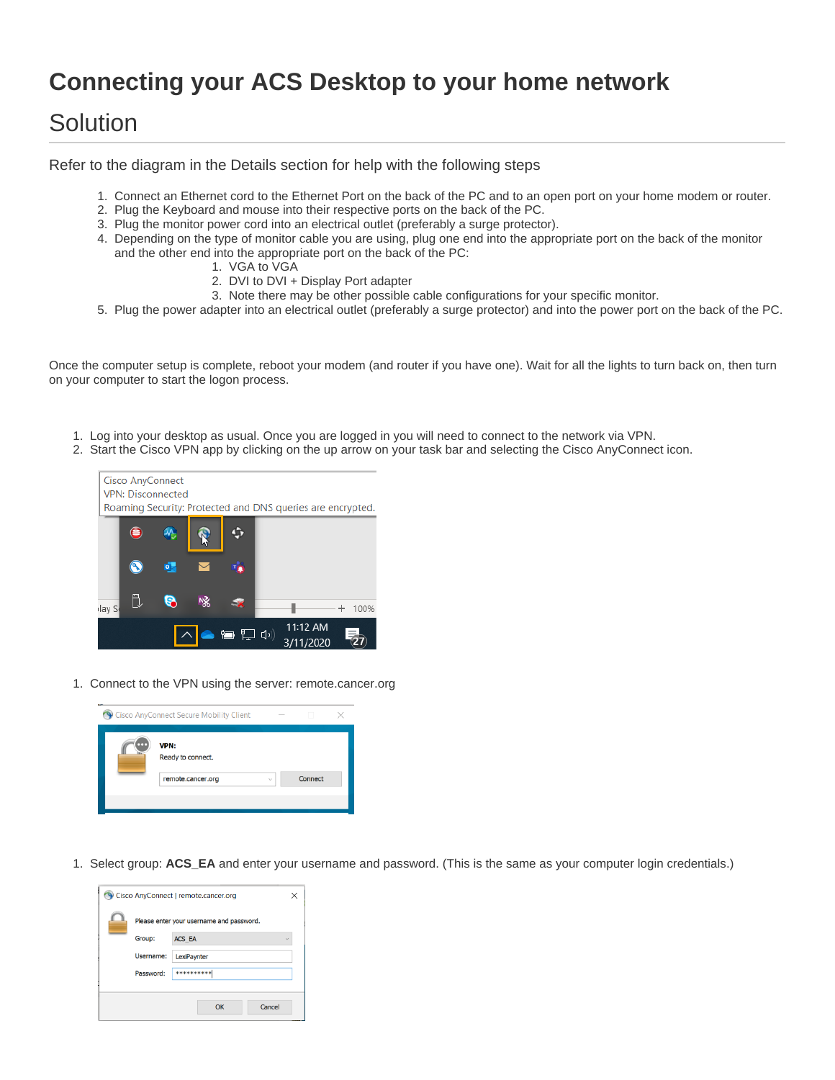## **Connecting your ACS Desktop to your home network**

## Solution

Refer to the diagram in the Details section for help with the following steps

- 1. Connect an Ethernet cord to the Ethernet Port on the back of the PC and to an open port on your home modem or router.
- 2. Plug the Keyboard and mouse into their respective ports on the back of the PC.
- 3. Plug the monitor power cord into an electrical outlet (preferably a surge protector).
- 4. Depending on the type of monitor cable you are using, plug one end into the appropriate port on the back of the monitor and the other end into the appropriate port on the back of the PC:
	- 1. VGA to VGA
	- 2. DVI to DVI + Display Port adapter
	- 3. Note there may be other possible cable configurations for your specific monitor.
- 5. Plug the power adapter into an electrical outlet (preferably a surge protector) and into the power port on the back of the PC.

Once the computer setup is complete, reboot your modem (and router if you have one). Wait for all the lights to turn back on, then turn on your computer to start the logon process.

- 1. Log into your desktop as usual. Once you are logged in you will need to connect to the network via VPN.
- 2. Start the Cisco VPN app by clicking on the up arrow on your task bar and selecting the Cisco AnyConnect icon.



1. Connect to the VPN using the server: remote.cancer.org



1. Select group: **ACS\_EA** and enter your username and password. (This is the same as your computer login credentials.)

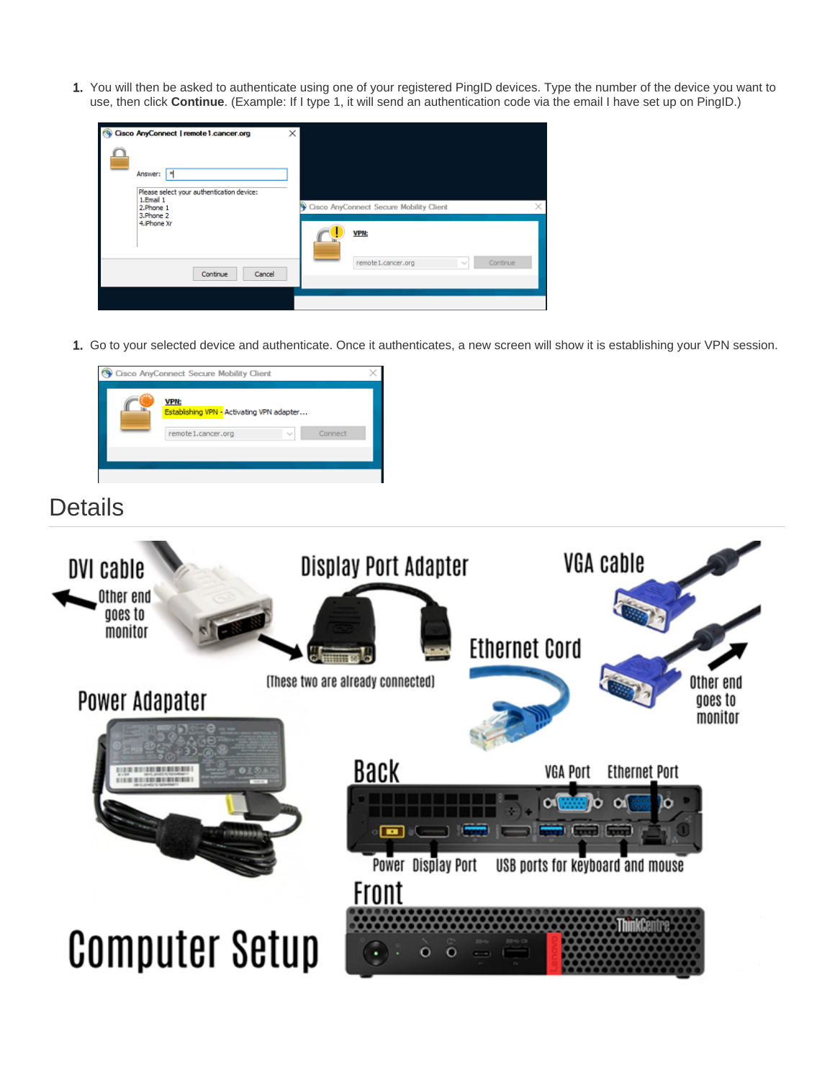1. You will then be asked to authenticate using one of your registered PingID devices. Type the number of the device you want to use, then click **Continue**. (Example: If I type 1, it will send an authentication code via the email I have set up on PingID.)



1. Go to your selected device and authenticate. Once it authenticates, a new screen will show it is establishing your VPN session.



## **Details**